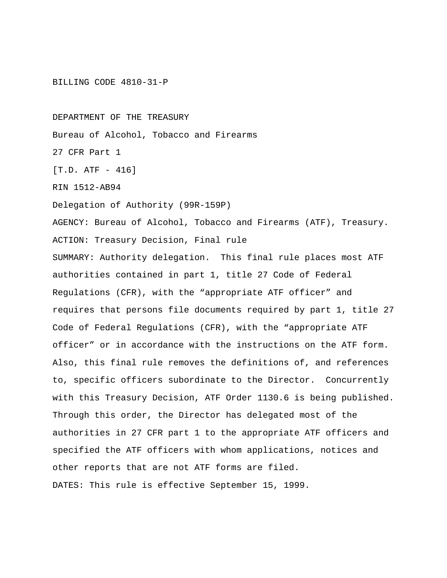#### BILLING CODE 4810-31-P

DEPARTMENT OF THE TREASURY

Bureau of Alcohol, Tobacco and Firearms

27 CFR Part 1

[T.D. ATF - 416]

RIN 1512-AB94

Delegation of Authority (99R-159P)

AGENCY: Bureau of Alcohol, Tobacco and Firearms (ATF), Treasury.

ACTION: Treasury Decision, Final rule

SUMMARY: Authority delegation. This final rule places most ATF authorities contained in part 1, title 27 Code of Federal Regulations (CFR), with the "appropriate ATF officer" and requires that persons file documents required by part 1, title 27 Code of Federal Regulations (CFR), with the "appropriate ATF officer" or in accordance with the instructions on the ATF form. Also, this final rule removes the definitions of, and references to, specific officers subordinate to the Director. Concurrently with this Treasury Decision, ATF Order 1130.6 is being published. Through this order, the Director has delegated most of the authorities in 27 CFR part 1 to the appropriate ATF officers and specified the ATF officers with whom applications, notices and other reports that are not ATF forms are filed. DATES: This rule is effective September 15, 1999.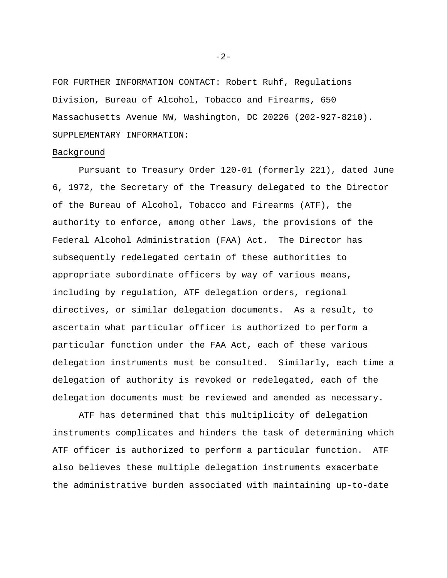FOR FURTHER INFORMATION CONTACT: Robert Ruhf, Regulations Division, Bureau of Alcohol, Tobacco and Firearms, 650 Massachusetts Avenue NW, Washington, DC 20226 (202-927-8210). SUPPLEMENTARY INFORMATION:

## Background

Pursuant to Treasury Order 120-01 (formerly 221), dated June 6, 1972, the Secretary of the Treasury delegated to the Director of the Bureau of Alcohol, Tobacco and Firearms (ATF), the authority to enforce, among other laws, the provisions of the Federal Alcohol Administration (FAA) Act. The Director has subsequently redelegated certain of these authorities to appropriate subordinate officers by way of various means, including by regulation, ATF delegation orders, regional directives, or similar delegation documents. As a result, to ascertain what particular officer is authorized to perform a particular function under the FAA Act, each of these various delegation instruments must be consulted. Similarly, each time a delegation of authority is revoked or redelegated, each of the delegation documents must be reviewed and amended as necessary.

ATF has determined that this multiplicity of delegation instruments complicates and hinders the task of determining which ATF officer is authorized to perform a particular function. ATF also believes these multiple delegation instruments exacerbate the administrative burden associated with maintaining up-to-date

 $-2-$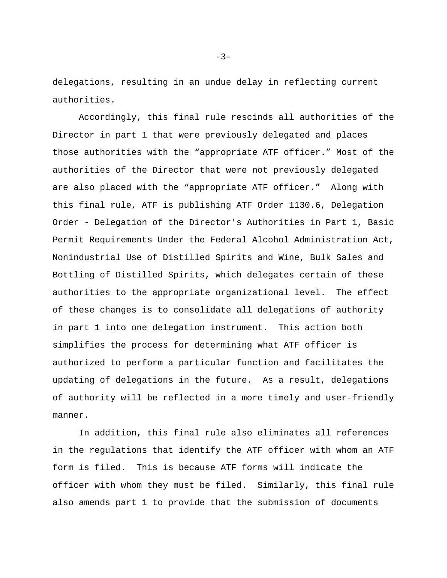delegations, resulting in an undue delay in reflecting current authorities.

Accordingly, this final rule rescinds all authorities of the Director in part 1 that were previously delegated and places those authorities with the "appropriate ATF officer." Most of the authorities of the Director that were not previously delegated are also placed with the "appropriate ATF officer." Along with this final rule, ATF is publishing ATF Order 1130.6, Delegation Order - Delegation of the Director's Authorities in Part 1, Basic Permit Requirements Under the Federal Alcohol Administration Act, Nonindustrial Use of Distilled Spirits and Wine, Bulk Sales and Bottling of Distilled Spirits, which delegates certain of these authorities to the appropriate organizational level. The effect of these changes is to consolidate all delegations of authority in part 1 into one delegation instrument. This action both simplifies the process for determining what ATF officer is authorized to perform a particular function and facilitates the updating of delegations in the future. As a result, delegations of authority will be reflected in a more timely and user-friendly manner.

In addition, this final rule also eliminates all references in the regulations that identify the ATF officer with whom an ATF form is filed. This is because ATF forms will indicate the officer with whom they must be filed. Similarly, this final rule also amends part 1 to provide that the submission of documents

 $-3-$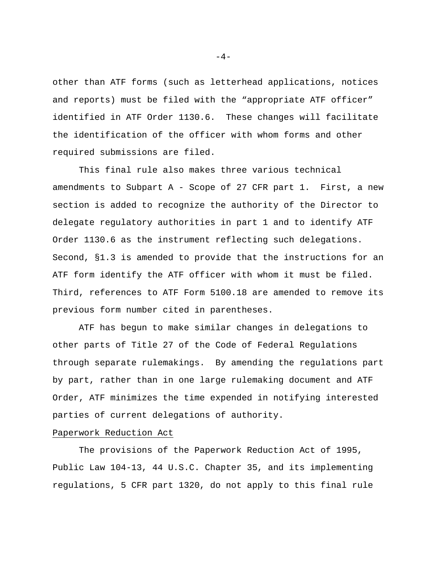other than ATF forms (such as letterhead applications, notices and reports) must be filed with the "appropriate ATF officer" identified in ATF Order 1130.6. These changes will facilitate the identification of the officer with whom forms and other required submissions are filed.

This final rule also makes three various technical amendments to Subpart A - Scope of 27 CFR part 1. First, a new section is added to recognize the authority of the Director to delegate regulatory authorities in part 1 and to identify ATF Order 1130.6 as the instrument reflecting such delegations. Second, §1.3 is amended to provide that the instructions for an ATF form identify the ATF officer with whom it must be filed. Third, references to ATF Form 5100.18 are amended to remove its previous form number cited in parentheses.

ATF has begun to make similar changes in delegations to other parts of Title 27 of the Code of Federal Regulations through separate rulemakings. By amending the regulations part by part, rather than in one large rulemaking document and ATF Order, ATF minimizes the time expended in notifying interested parties of current delegations of authority.

# Paperwork Reduction Act

The provisions of the Paperwork Reduction Act of 1995, Public Law 104-13, 44 U.S.C. Chapter 35, and its implementing regulations, 5 CFR part 1320, do not apply to this final rule

 $-4-$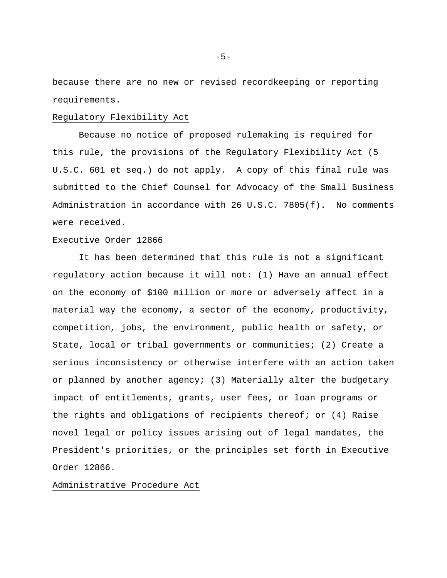because there are no new or revised recordkeeping or reporting requirements.

#### Regulatory Flexibility Act

Because no notice of proposed rulemaking is required for this rule, the provisions of the Regulatory Flexibility Act (5 U.S.C. 601 et seq.) do not apply. A copy of this final rule was submitted to the Chief Counsel for Advocacy of the Small Business Administration in accordance with 26 U.S.C. 7805(f). No comments were received.

## Executive Order 12866

It has been determined that this rule is not a significant regulatory action because it will not: (1) Have an annual effect on the economy of \$100 million or more or adversely affect in a material way the economy, a sector of the economy, productivity, competition, jobs, the environment, public health or safety, or State, local or tribal governments or communities; (2) Create a serious inconsistency or otherwise interfere with an action taken or planned by another agency; (3) Materially alter the budgetary impact of entitlements, grants, user fees, or loan programs or the rights and obligations of recipients thereof; or (4) Raise novel legal or policy issues arising out of legal mandates, the President's priorities, or the principles set forth in Executive Order 12866.

## Administrative Procedure Act

 $-5-$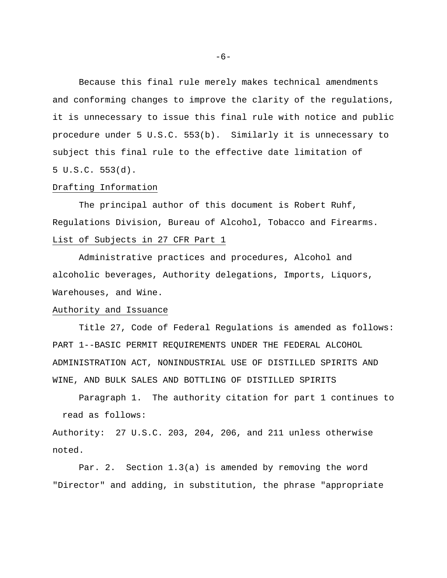Because this final rule merely makes technical amendments and conforming changes to improve the clarity of the regulations, it is unnecessary to issue this final rule with notice and public procedure under 5 U.S.C. 553(b). Similarly it is unnecessary to subject this final rule to the effective date limitation of 5 U.S.C. 553(d).

## Drafting Information

The principal author of this document is Robert Ruhf, Regulations Division, Bureau of Alcohol, Tobacco and Firearms. List of Subjects in 27 CFR Part 1

Administrative practices and procedures, Alcohol and alcoholic beverages, Authority delegations, Imports, Liquors, Warehouses, and Wine.

# Authority and Issuance

Title 27, Code of Federal Regulations is amended as follows: PART 1--BASIC PERMIT REQUIREMENTS UNDER THE FEDERAL ALCOHOL ADMINISTRATION ACT, NONINDUSTRIAL USE OF DISTILLED SPIRITS AND WINE, AND BULK SALES AND BOTTLING OF DISTILLED SPIRITS

Paragraph 1. The authority citation for part 1 continues to read as follows:

Authority: 27 U.S.C. 203, 204, 206, and 211 unless otherwise noted.

Par. 2. Section 1.3(a) is amended by removing the word "Director" and adding, in substitution, the phrase "appropriate

-6-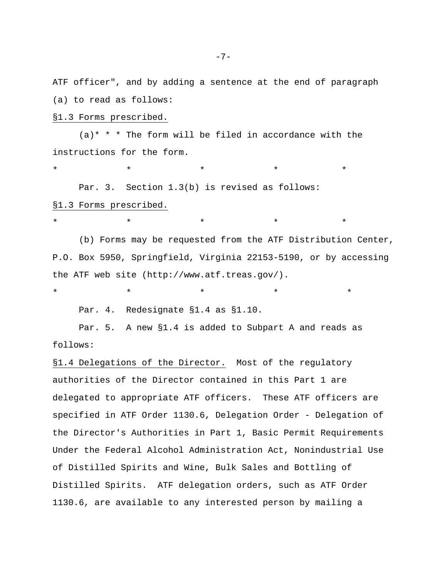ATF officer", and by adding a sentence at the end of paragraph (a) to read as follows:

## §1.3 Forms prescribed.

 $(a)$ \* \* \* The form will be filed in accordance with the instructions for the form.

\* \* \* \* \* Par. 3. Section 1.3(b) is revised as follows: §1.3 Forms prescribed.

\* \* \* \* \* (b) Forms may be requested from the ATF Distribution Center, P.O. Box 5950, Springfield, Virginia 22153-5190, or by accessing the ATF web site (http://www.atf.treas.gov/).

\* \* \* \* \*

Par. 4. Redesignate §1.4 as §1.10.

Par. 5. A new §1.4 is added to Subpart A and reads as follows:

§1.4 Delegations of the Director. Most of the regulatory authorities of the Director contained in this Part 1 are delegated to appropriate ATF officers. These ATF officers are specified in ATF Order 1130.6, Delegation Order - Delegation of the Director's Authorities in Part 1, Basic Permit Requirements Under the Federal Alcohol Administration Act, Nonindustrial Use of Distilled Spirits and Wine, Bulk Sales and Bottling of Distilled Spirits. ATF delegation orders, such as ATF Order 1130.6, are available to any interested person by mailing a

-7-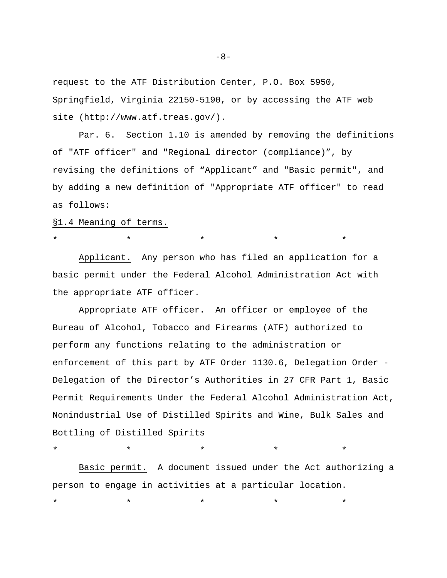request to the ATF Distribution Center, P.O. Box 5950, Springfield, Virginia 22150-5190, or by accessing the ATF web site (http://www.atf.treas.gov/).

Par. 6. Section 1.10 is amended by removing the definitions of "ATF officer" and "Regional director (compliance)", by revising the definitions of "Applicant" and "Basic permit", and by adding a new definition of "Appropriate ATF officer" to read as follows:

§1.4 Meaning of terms.

Applicant. Any person who has filed an application for a basic permit under the Federal Alcohol Administration Act with the appropriate ATF officer.

\* \* \* \* \*

Appropriate ATF officer. An officer or employee of the Bureau of Alcohol, Tobacco and Firearms (ATF) authorized to perform any functions relating to the administration or enforcement of this part by ATF Order 1130.6, Delegation Order - Delegation of the Director's Authorities in 27 CFR Part 1, Basic Permit Requirements Under the Federal Alcohol Administration Act, Nonindustrial Use of Distilled Spirits and Wine, Bulk Sales and Bottling of Distilled Spirits

Basic permit. A document issued under the Act authorizing a person to engage in activities at a particular location.

\* \* \* \* \*

\* \* \* \* \*

-8-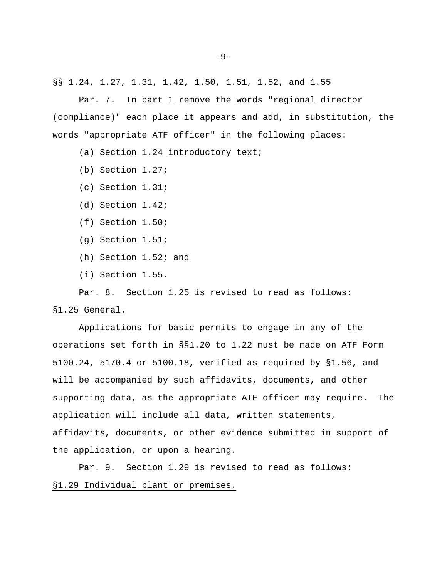§§ 1.24, 1.27, 1.31, 1.42, 1.50, 1.51, 1.52, and 1.55

Par. 7. In part 1 remove the words "regional director (compliance)" each place it appears and add, in substitution, the words "appropriate ATF officer" in the following places:

(a) Section 1.24 introductory text;

- (b) Section 1.27;
- (c) Section 1.31;
- (d) Section 1.42;
- (f) Section 1.50;
- (g) Section 1.51;
- (h) Section 1.52; and
- (i) Section 1.55.

Par. 8. Section 1.25 is revised to read as follows:

### §1.25 General.

Applications for basic permits to engage in any of the operations set forth in §§1.20 to 1.22 must be made on ATF Form 5100.24, 5170.4 or 5100.18, verified as required by §1.56, and will be accompanied by such affidavits, documents, and other supporting data, as the appropriate ATF officer may require. The application will include all data, written statements, affidavits, documents, or other evidence submitted in support of the application, or upon a hearing.

Par. 9. Section 1.29 is revised to read as follows: §1.29 Individual plant or premises.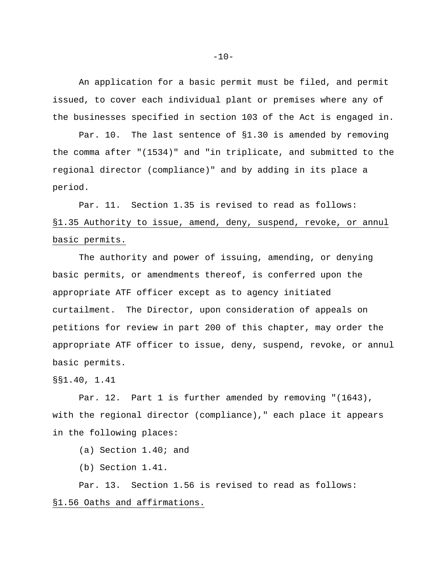An application for a basic permit must be filed, and permit issued, to cover each individual plant or premises where any of the businesses specified in section 103 of the Act is engaged in.

Par. 10. The last sentence of §1.30 is amended by removing the comma after "(1534)" and "in triplicate, and submitted to the regional director (compliance)" and by adding in its place a period.

Par. 11. Section 1.35 is revised to read as follows: §1.35 Authority to issue, amend, deny, suspend, revoke, or annul basic permits.

The authority and power of issuing, amending, or denying basic permits, or amendments thereof, is conferred upon the appropriate ATF officer except as to agency initiated curtailment. The Director, upon consideration of appeals on petitions for review in part 200 of this chapter, may order the appropriate ATF officer to issue, deny, suspend, revoke, or annul basic permits.

§§1.40, 1.41

Par. 12. Part 1 is further amended by removing "(1643), with the regional director (compliance)," each place it appears in the following places:

(a) Section 1.40; and

(b) Section 1.41.

Par. 13. Section 1.56 is revised to read as follows: §1.56 Oaths and affirmations.